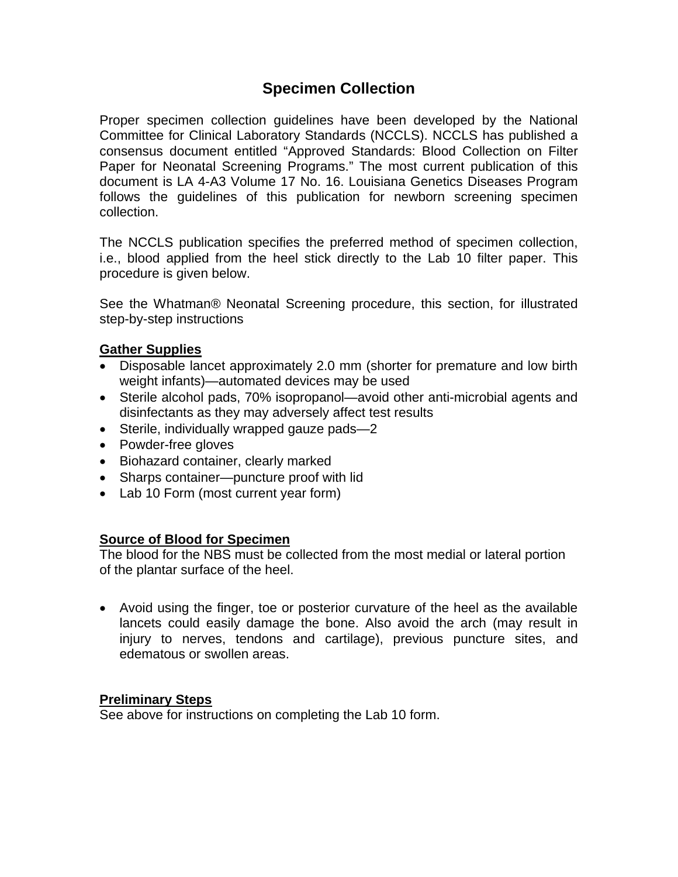# **Specimen Collection**

Proper specimen collection guidelines have been developed by the National Committee for Clinical Laboratory Standards (NCCLS). NCCLS has published a consensus document entitled "Approved Standards: Blood Collection on Filter Paper for Neonatal Screening Programs." The most current publication of this document is LA 4-A3 Volume 17 No. 16. Louisiana Genetics Diseases Program follows the guidelines of this publication for newborn screening specimen collection.

The NCCLS publication specifies the preferred method of specimen collection, i.e., blood applied from the heel stick directly to the Lab 10 filter paper. This procedure is given below.

See the Whatman® Neonatal Screening procedure, this section, for illustrated step-by-step instructions

## **Gather Supplies**

- Disposable lancet approximately 2.0 mm (shorter for premature and low birth weight infants)—automated devices may be used
- Sterile alcohol pads, 70% isopropanol—avoid other anti-microbial agents and disinfectants as they may adversely affect test results
- Sterile, individually wrapped gauze pads-2
- Powder-free gloves
- Biohazard container, clearly marked
- Sharps container—puncture proof with lid
- Lab 10 Form (most current year form)

#### **Source of Blood for Specimen**

The blood for the NBS must be collected from the most medial or lateral portion of the plantar surface of the heel.

 Avoid using the finger, toe or posterior curvature of the heel as the available lancets could easily damage the bone. Also avoid the arch (may result in injury to nerves, tendons and cartilage), previous puncture sites, and edematous or swollen areas.

#### **Preliminary Steps**

See above for instructions on completing the Lab 10 form.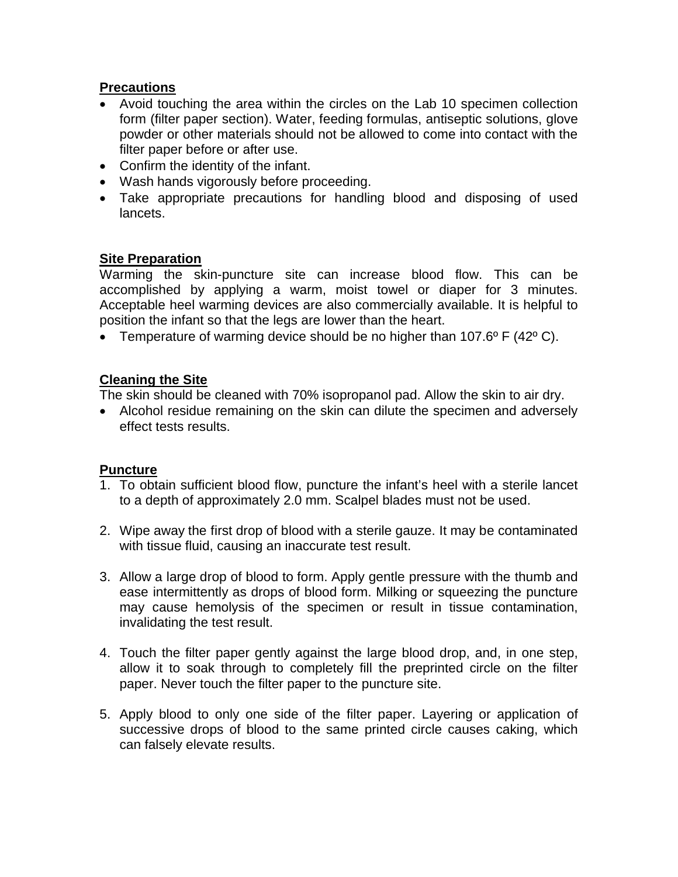## **Precautions**

- Avoid touching the area within the circles on the Lab 10 specimen collection form (filter paper section). Water, feeding formulas, antiseptic solutions, glove powder or other materials should not be allowed to come into contact with the filter paper before or after use.
- Confirm the identity of the infant.
- Wash hands vigorously before proceeding.
- Take appropriate precautions for handling blood and disposing of used lancets.

## **Site Preparation**

Warming the skin-puncture site can increase blood flow. This can be accomplished by applying a warm, moist towel or diaper for 3 minutes. Acceptable heel warming devices are also commercially available. It is helpful to position the infant so that the legs are lower than the heart.

**•** Temperature of warming device should be no higher than  $107.6^{\circ}$  F (42 $^{\circ}$  C).

## **Cleaning the Site**

The skin should be cleaned with 70% isopropanol pad. Allow the skin to air dry.

 Alcohol residue remaining on the skin can dilute the specimen and adversely effect tests results.

#### **Puncture**

- 1. To obtain sufficient blood flow, puncture the infant's heel with a sterile lancet to a depth of approximately 2.0 mm. Scalpel blades must not be used.
- 2. Wipe away the first drop of blood with a sterile gauze. It may be contaminated with tissue fluid, causing an inaccurate test result.
- 3. Allow a large drop of blood to form. Apply gentle pressure with the thumb and ease intermittently as drops of blood form. Milking or squeezing the puncture may cause hemolysis of the specimen or result in tissue contamination, invalidating the test result.
- 4. Touch the filter paper gently against the large blood drop, and, in one step, allow it to soak through to completely fill the preprinted circle on the filter paper. Never touch the filter paper to the puncture site.
- 5. Apply blood to only one side of the filter paper. Layering or application of successive drops of blood to the same printed circle causes caking, which can falsely elevate results.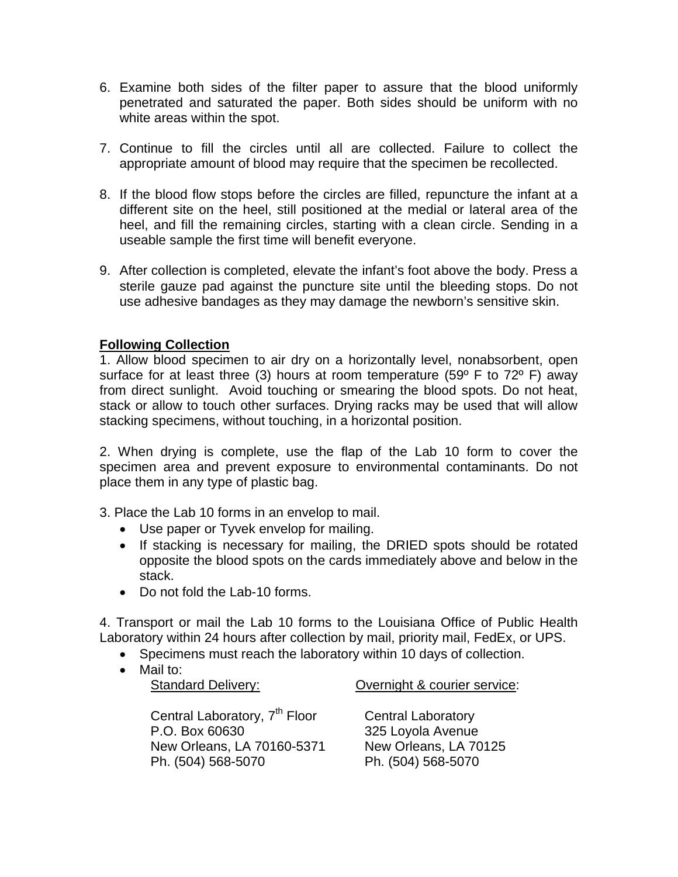- 6. Examine both sides of the filter paper to assure that the blood uniformly penetrated and saturated the paper. Both sides should be uniform with no white areas within the spot.
- 7. Continue to fill the circles until all are collected. Failure to collect the appropriate amount of blood may require that the specimen be recollected.
- 8. If the blood flow stops before the circles are filled, repuncture the infant at a different site on the heel, still positioned at the medial or lateral area of the heel, and fill the remaining circles, starting with a clean circle. Sending in a useable sample the first time will benefit everyone.
- 9. After collection is completed, elevate the infant's foot above the body. Press a sterile gauze pad against the puncture site until the bleeding stops. Do not use adhesive bandages as they may damage the newborn's sensitive skin.

# **Following Collection**

1. Allow blood specimen to air dry on a horizontally level, nonabsorbent, open surface for at least three (3) hours at room temperature (59 $^{\circ}$  F to 72 $^{\circ}$  F) away from direct sunlight. Avoid touching or smearing the blood spots. Do not heat, stack or allow to touch other surfaces. Drying racks may be used that will allow stacking specimens, without touching, in a horizontal position.

2. When drying is complete, use the flap of the Lab 10 form to cover the specimen area and prevent exposure to environmental contaminants. Do not place them in any type of plastic bag.

3. Place the Lab 10 forms in an envelop to mail.

- Use paper or Tyvek envelop for mailing.
- If stacking is necessary for mailing, the DRIED spots should be rotated opposite the blood spots on the cards immediately above and below in the stack.
- Do not fold the Lab-10 forms.

4. Transport or mail the Lab 10 forms to the Louisiana Office of Public Health Laboratory within 24 hours after collection by mail, priority mail, FedEx, or UPS.

- Specimens must reach the laboratory within 10 days of collection.
- Mail to:

Standard Delivery:

Overnight & courier service:

Central Laboratory, 7<sup>th</sup> Floor P.O. Box 60630 New Orleans, LA 70160-5371 Ph. (504) 568-5070

Central Laboratory 325 Loyola Avenue New Orleans, LA 70125 Ph. (504) 568-5070